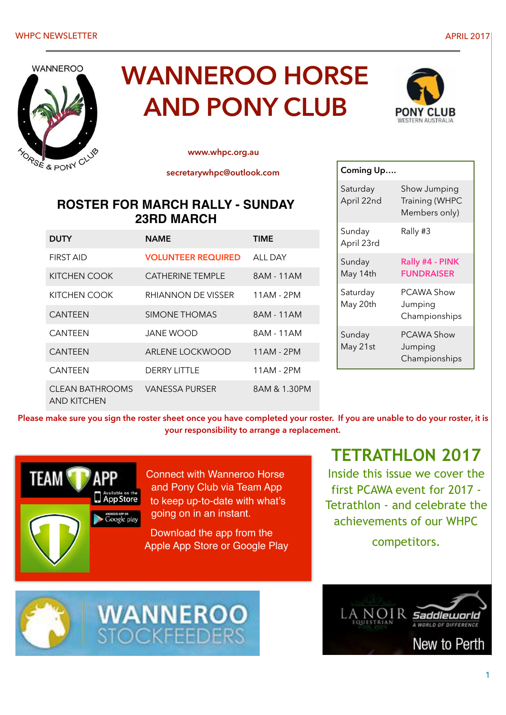

# **WANNEROO HORSE AND PONY CLUB**



**[www.whpc.org.au](http://www.whpc.org.au)**

**secretarywhpc@outlook.com** 

# **ROSTER FOR MARCH RALLY - SUNDAY 23RD MARCH**

| <b>DUTY</b>                    | <b>NAME</b>               | <b>TIME</b>    |
|--------------------------------|---------------------------|----------------|
| <b>FIRST AID</b>               | <b>VOLUNTEER REQUIRED</b> | <b>ALL DAY</b> |
| KITCHEN COOK                   | <b>CATHERINE TEMPLE</b>   | 8AM - 11AM     |
| KITCHEN COOK                   | RHIANNON DE VISSER        | 11AM - 2PM     |
| <b>CANTFFN</b>                 | SIMONE THOMAS             | 8AM - 11AM     |
| <b>CANTFFN</b>                 | JANF WOOD                 | 8AM - 11AM     |
| <b>CANTFFN</b>                 | ARLENE LOCKWOOD           | $11AM - 2PM$   |
| <b>CANTFFN</b>                 | <b>DERRY LITTLE</b>       | 11AM - 2PM     |
| CLEAN BATHROOMS<br>AND KITCHEN | VANESSA PURSER            | 8AM & 1.30PM   |



**Please make sure you sign the roster sheet once you have completed your roster. If you are unable to do your roster, it is your responsibility to arrange a replacement.**



Connect with Wanneroo Horse and Pony Club via Team App to keep up-to-date with what's going on in an instant.

Download the app from the Apple App Store or Google Play

# **TETRATHLON 2017**

Inside this issue we cover the first PCAWA event for 2017 - Tetrathlon - and celebrate the achievements of our WHPC

competitors.





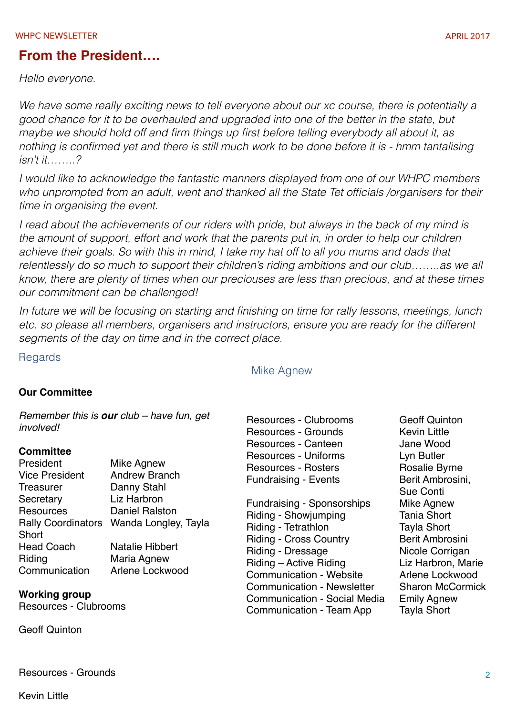### **From the President….**

*Hello everyone.*

*We have some really exciting news to tell everyone about our xc course, there is potentially a good chance for it to be overhauled and upgraded into one of the better in the state, but maybe we should hold off and firm things up first before telling everybody all about it, as nothing is confirmed yet and there is still much work to be done before it is - hmm tantalising isn't it……..?*

*I would like to acknowledge the fantastic manners displayed from one of our WHPC members who unprompted from an adult, went and thanked all the State Tet officials /organisers for their time in organising the event.*

*I read about the achievements of our riders with pride, but always in the back of my mind is the amount of support, effort and work that the parents put in, in order to help our children achieve their goals. So with this in mind, I take my hat off to all you mums and dads that relentlessly do so much to support their children's riding ambitions and our club……..as we all know, there are plenty of times when our preciouses are less than precious, and at these times our commitment can be challenged!*

*In future we will be focusing on starting and finishing on time for rally lessons, meetings, lunch etc. so please all members, organisers and instructors, ensure you are ready for the different segments of the day on time and in the correct place.*

**Regards** 

#### Mike Agnew

#### **Our Committee**

*Remember this is our club – have fun, get involved!*

#### **Committee**

| President             | <b>Mike Agnew</b>                       |
|-----------------------|-----------------------------------------|
| <b>Vice President</b> | <b>Andrew Branch</b>                    |
| <b>Treasurer</b>      | Danny Stahl                             |
| Secretary             | Liz Harbron                             |
| Resources             | <b>Daniel Ralston</b>                   |
|                       | Rally Coordinators Wanda Longley, Tayla |
| Short                 |                                         |
| <b>Head Coach</b>     | Natalie Hibbert                         |
| Riding                | Maria Agnew                             |
| Communication         | Arlene Lockwood                         |
|                       |                                         |

#### **Working group**

Resources - Clubrooms

Geoff Quinton

Resources - Clubrooms Geoff Quinton Resources - Grounds Kevin Little Resources - Canteen Jane Wood Resources - Uniforms Lyn Butler Resources - Rosters **Rosalie Byrne** Fundraising - Events **Berit Ambrosini**,

Fundraising - Sponsorships Mike Agnew Riding - Showjumping Tania Short Riding - Tetrathlon Tayla Short Riding - Cross Country **Berit Ambrosini** Riding - Dressage Micole Corrigan<br>Riding - Active Riding Music Liz Harbron, Marie Riding – Active Riding Communication - Website Arlene Lockwood Communication - Newsletter Sharon McCormick Communication - Social Media Emily Agnew Communication - Team App Tayla Short

Sue Conti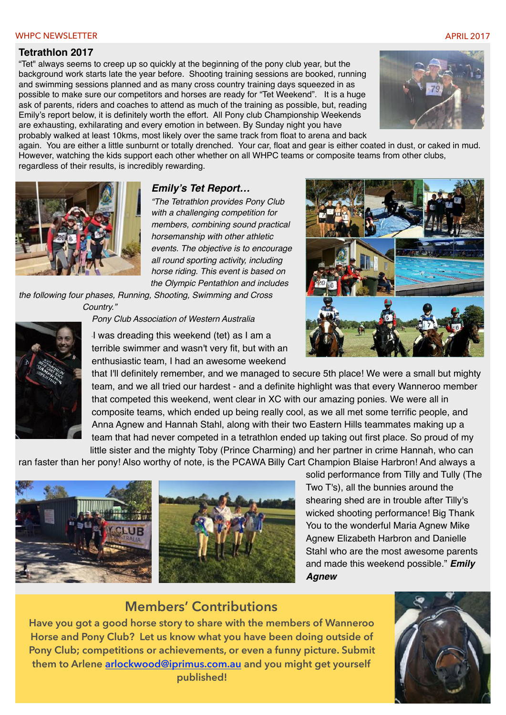#### WHPC NEWSLETTER APPEARING THE CONTROL OF THE CONTROL OF THE CONTROL OF THE CONTROL OF THE CONTROL OF THE CONTROL OF THE CONTROL OF THE CONTROL OF THE CONTROL OF THE CONTROL OF THE CONTROL OF THE CONTROL OF THE CONTROL OF T

#### **Tetrathlon 2017**

"Tet" always seems to creep up so quickly at the beginning of the pony club year, but the background work starts late the year before. Shooting training sessions are booked, running and swimming sessions planned and as many cross country training days squeezed in as possible to make sure our competitors and horses are ready for "Tet Weekend". It is a huge ask of parents, riders and coaches to attend as much of the training as possible, but, reading Emily's report below, it is definitely worth the effort. All Pony club Championship Weekends are exhausting, exhilarating and every emotion in between. By Sunday night you have probably walked at least 10kms, most likely over the same track from float to arena and back



again. You are either a little sunburnt or totally drenched. Your car, float and gear is either coated in dust, or caked in mud. However, watching the kids support each other whether on all WHPC teams or composite teams from other clubs, regardless of their results, is incredibly rewarding.



#### *Emily's Tet Report…*

*"The Tetrathlon provides Pony Club with a challenging competition for members, combining sound practical horsemanship with other athletic events. The objective is to encourage all round sporting activity, including horse riding. This event is based on the Olympic Pentathlon and includes* 

*the following four phases, Running, Shooting, Swimming and Cross Country."*



"I was dreading this weekend (tet) as I am a terrible swimmer and wasn't very fit, but with an

enthusiastic team, I had an awesome weekend

*Pony Club Association of Western Australia*

that I'll definitely remember, and we managed to secure 5th place! We were a small but mighty team, and we all tried our hardest - and a definite highlight was that every Wanneroo member that competed this weekend, went clear in XC with our amazing ponies. We were all in composite teams, which ended up being really cool, as we all met some terrific people, and Anna Agnew and Hannah Stahl, along with their two Eastern Hills teammates making up a team that had never competed in a tetrathlon ended up taking out first place. So proud of my little sister and the mighty Toby (Prince Charming) and her partner in crime Hannah, who can

ran faster than her pony! Also worthy of note, is the PCAWA Billy Cart Champion [Blaise Harbron](https://www.facebook.com/blaise.harbron)! And always a



solid performance from Tilly and Tully (The Two T's), all the bunnies around the shearing shed are in trouble after Tilly's wicked shooting performance! Big Thank [You to the wonderful](https://www.facebook.com/profile.php?id=100011591943618) [Maria Agnew](https://www.facebook.com/maria.agnew.12) Mike Agnew [Elizabeth Harbron](https://www.facebook.com/elizabeth.harbron) and Danielle Stahl [who are the most awesome paren](https://www.facebook.com/danielle.stahl.14)ts and made this weekend possible." *Emily Agnew*

### **Members' Contributions**

**Have you got a good horse story to share with the members of Wanneroo Horse and Pony Club? Let us know what you have been doing outside of Pony Club; competitions or achievements, or even a funny picture. Submit them to Arlene [arlockwood@iprimus.com.au](mailto:arlockwood@iprimus.com.au) and you might get yourself published!** 

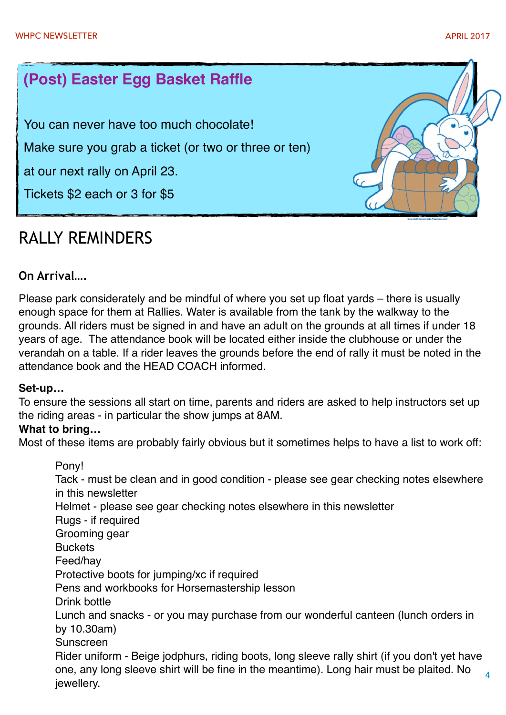# **(Post) Easter Egg Basket Raffle**

You can never have too much chocolate!

Make sure you grab a ticket (or two or three or ten)

at our next rally on April 23.

Tickets \$2 each or 3 for \$5

# RALLY REMINDERS



# **On Arrival….**

Please park considerately and be mindful of where you set up float yards – there is usually enough space for them at Rallies. Water is available from the tank by the walkway to the grounds. All riders must be signed in and have an adult on the grounds at all times if under 18 years of age. The attendance book will be located either inside the clubhouse or under the verandah on a table. If a rider leaves the grounds before the end of rally it must be noted in the attendance book and the HEAD COACH informed.

#### **Set-up…**

To ensure the sessions all start on time, parents and riders are asked to help instructors set up the riding areas - in particular the show jumps at 8AM.

#### **What to bring…**

Most of these items are probably fairly obvious but it sometimes helps to have a list to work off:

Pony! Tack - must be clean and in good condition - please see gear checking notes elsewhere in this newsletter Helmet - please see gear checking notes elsewhere in this newsletter Rugs - if required Grooming gear **Buckets** Feed/hay Protective boots for jumping/xc if required Pens and workbooks for Horsemastership lesson Drink bottle Lunch and snacks - or you may purchase from our wonderful canteen (lunch orders in by 10.30am) Sunscreen Rider uniform - Beige jodphurs, riding boots, long sleeve rally shirt (if you don't yet have one, any long sleeve shirt will be fine in the meantime). Long hair must be plaited. No jewellery.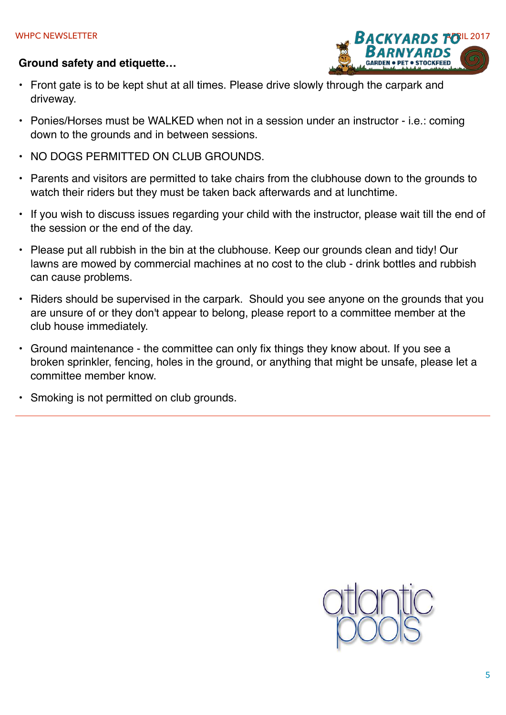#### **Ground safety and etiquette…**



- Front gate is to be kept shut at all times. Please drive slowly through the carpark and driveway.
- Ponies/Horses must be WALKED when not in a session under an instructor i.e.: coming down to the grounds and in between sessions.
- NO DOGS PERMITTED ON CLUB GROUNDS.
- Parents and visitors are permitted to take chairs from the clubhouse down to the grounds to watch their riders but they must be taken back afterwards and at lunchtime.
- If you wish to discuss issues regarding your child with the instructor, please wait till the end of the session or the end of the day.
- Please put all rubbish in the bin at the clubhouse. Keep our grounds clean and tidy! Our lawns are mowed by commercial machines at no cost to the club - drink bottles and rubbish can cause problems.
- Riders should be supervised in the carpark. Should you see anyone on the grounds that you are unsure of or they don't appear to belong, please report to a committee member at the club house immediately.
- Ground maintenance the committee can only fix things they know about. If you see a broken sprinkler, fencing, holes in the ground, or anything that might be unsafe, please let a committee member know.
- Smoking is not permitted on club grounds.

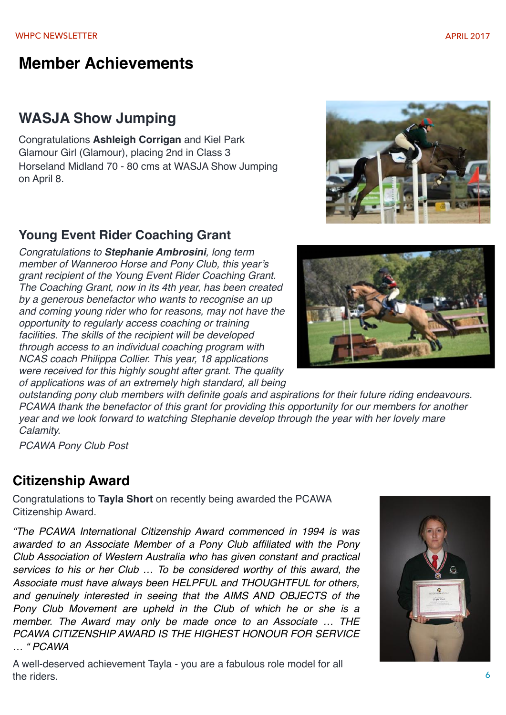# **Member Achievements**

# **WASJA Show Jumping**

Congratulations **Ashleigh Corrigan** and Kiel Park Glamour Girl (Glamour), placing 2nd in Class 3 Horseland Midland 70 - 80 cms at WASJA Show Jumping on April 8.

# **Young Event Rider Coaching Grant**

*Congratulations to Stephanie Ambrosini, long term member of Wanneroo Horse and Pony Club, this year's grant recipient of the Young Event Rider Coaching Grant. The Coaching Grant, now in its 4th year, has been created by a generous benefactor who wants to recognise an up and coming young rider who for reasons, may not have the opportunity to regularly access coaching or training facilities. The skills of the recipient will be developed through access to an individual coaching program with NCAS coach Philippa Collier. This year, 18 applications were received for this highly sought after grant. The quality of applications was of an extremely high standard, all being* 

*outstanding pony club members with definite goals and aspirations for their future riding endeavours. PCAWA thank the benefactor of this grant for providing this opportunity for our members for another year and we look forward to watching Stephanie develop through the year with her lovely mare Calamity.* 

*PCAWA Pony Club Post*

# **Citizenship Award**

Congratulations to **Tayla Short** on recently being awarded the PCAWA Citizenship Award.

*"The PCAWA International Citizenship Award commenced in 1994 is was awarded to an Associate Member of a Pony Club affiliated with the Pony Club Association of Western Australia who has given constant and practical services to his or her Club … To be considered worthy of this award, the Associate must have always been HELPFUL and THOUGHTFUL for others, and genuinely interested in seeing that the AIMS AND OBJECTS of the Pony Club Movement are upheld in the Club of which he or she is a member. The Award may only be made once to an Associate … THE PCAWA CITIZENSHIP AWARD IS THE HIGHEST HONOUR FOR SERVICE … " PCAWA*

A well-deserved achievement Tayla - you are a fabulous role model for all the riders.





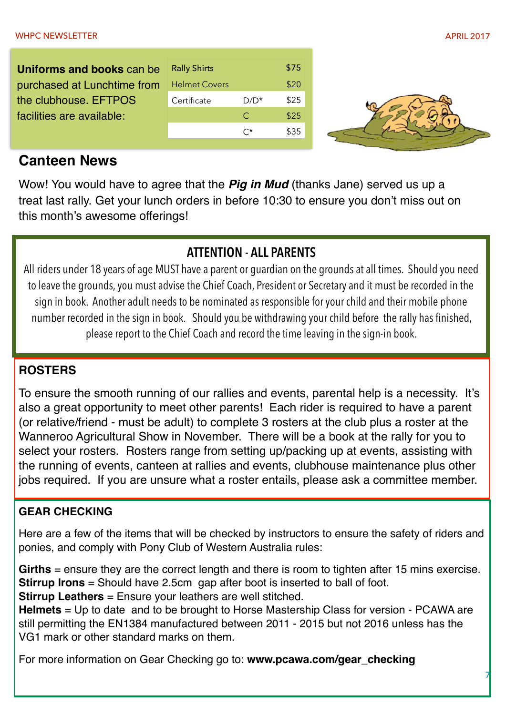7

**Uniforms and books** can be purchased at Lunchtime from the clubhouse. EFTPOS facilities are available:

| <b>Rally Shirts</b>  |         | \$75 |
|----------------------|---------|------|
| <b>Helmet Covers</b> |         | \$20 |
| Certificate          | $D/D^*$ | \$25 |
|                      | C       | \$25 |
|                      | • ∙*    | \$35 |



# **Canteen News**

Wow! You would have to agree that the *Pig in Mud* (thanks Jane) served us up a treat last rally. Get your lunch orders in before 10:30 to ensure you don't miss out on this month's awesome offerings!

# **ATTENTION - ALL PARENTS**

All riders under 18 years of age MUST have a parent or guardian on the grounds at all times. Should you need to leave the grounds, you must advise the Chief Coach, President or Secretary and it must be recorded in the sign in book. Another adult needs to be nominated as responsible for your child and their mobile phone number recorded in the sign in book. Should you be withdrawing your child before the rally has finished, please report to the Chief Coach and record the time leaving in the sign-in book.

# **ROSTERS**

To ensure the smooth running of our rallies and events, parental help is a necessity. It's also a great opportunity to meet other parents! Each rider is required to have a parent (or relative/friend - must be adult) to complete 3 rosters at the club plus a roster at the Wanneroo Agricultural Show in November. There will be a book at the rally for you to select your rosters. Rosters range from setting up/packing up at events, assisting with the running of events, canteen at rallies and events, clubhouse maintenance plus other jobs required. If you are unsure what a roster entails, please ask a committee member.

# **GEAR CHECKING**

Here are a few of the items that will be checked by instructors to ensure the safety of riders and ponies, and comply with Pony Club of Western Australia rules:

**Girths** = ensure they are the correct length and there is room to tighten after 15 mins exercise. **Stirrup Irons** = Should have 2.5cm gap after boot is inserted to ball of foot. **Stirrup Leathers** = Ensure your leathers are well stitched.

**Helmets** = Up to date and to be brought to Horse Mastership Class for version - PCAWA are still permitting the EN1384 manufactured between 2011 - 2015 but not 2016 unless has the VG1 mark or other standard marks on them.

For more information on Gear Checking go to: **www.pcawa.com/gear\_checking**